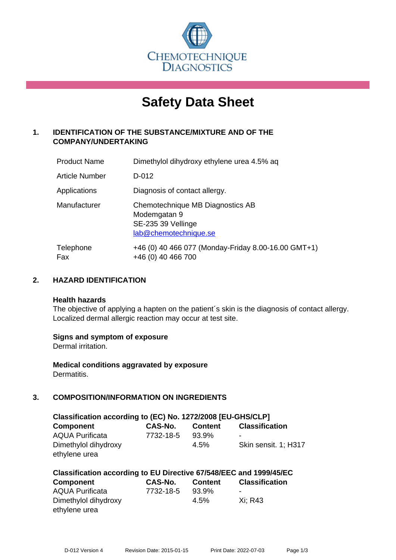

# **Safety Data Sheet**

# **1. IDENTIFICATION OF THE SUBSTANCE/MIXTURE AND OF THE COMPANY/UNDERTAKING**

| <b>Product Name</b> | Dimethylol dihydroxy ethylene urea 4.5% aq                                                      |
|---------------------|-------------------------------------------------------------------------------------------------|
| Article Number      | D-012                                                                                           |
| Applications        | Diagnosis of contact allergy.                                                                   |
| Manufacturer        | Chemotechnique MB Diagnostics AB<br>Modemgatan 9<br>SE-235 39 Vellinge<br>lab@chemotechnique.se |
| Telephone<br>Fax    | +46 (0) 40 466 077 (Monday-Friday 8.00-16.00 GMT+1)<br>+46 (0) 40 466 700                       |

# **2. HAZARD IDENTIFICATION**

#### **Health hazards**

The objective of applying a hapten on the patient's skin is the diagnosis of contact allergy. Localized dermal allergic reaction may occur at test site.

#### **Signs and symptom of exposure**

Dermal irritation.

**Medical conditions aggravated by exposure** Dermatitis.

# **3. COMPOSITION/INFORMATION ON INGREDIENTS**

| Classification according to (EC) No. 1272/2008 [EU-GHS/CLP] |           |                |                       |  |
|-------------------------------------------------------------|-----------|----------------|-----------------------|--|
| <b>Component</b>                                            | CAS-No.   | <b>Content</b> | <b>Classification</b> |  |
| <b>AQUA Purificata</b>                                      | 7732-18-5 | 93.9%          | -                     |  |
| Dimethylol dihydroxy                                        |           | $4.5\%$        | Skin sensit. 1; H317  |  |
| ethylene urea                                               |           |                |                       |  |

| Classification according to EU Directive 67/548/EEC and 1999/45/EC |                |                |                       |  |
|--------------------------------------------------------------------|----------------|----------------|-----------------------|--|
| <b>Component</b>                                                   | <b>CAS-No.</b> | <b>Content</b> | <b>Classification</b> |  |
| <b>AQUA Purificata</b>                                             | 7732-18-5      | 93.9%          | $\,$                  |  |
| Dimethylol dihydroxy                                               |                | 4.5%           | Xi: R43               |  |
| ethylene urea                                                      |                |                |                       |  |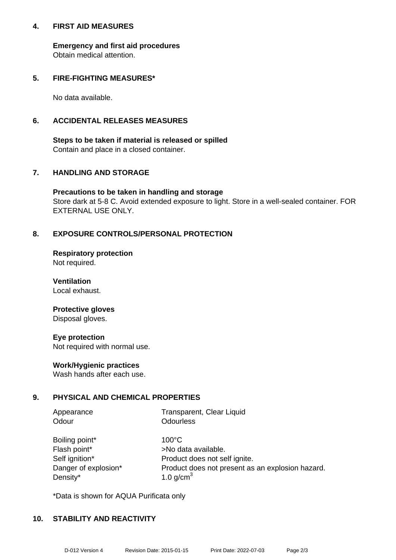#### **4. FIRST AID MEASURES**

**Emergency and first aid procedures** Obtain medical attention.

#### **5. FIRE-FIGHTING MEASURES\***

No data available.

### **6. ACCIDENTAL RELEASES MEASURES**

**Steps to be taken if material is released or spilled** Contain and place in a closed container.

# **7. HANDLING AND STORAGE**

**Precautions to be taken in handling and storage** Store dark at 5-8 C. Avoid extended exposure to light. Store in a well-sealed container. FOR EXTERNAL USE ONLY.

# **8. EXPOSURE CONTROLS/PERSONAL PROTECTION**

**Respiratory protection** Not required.

**Ventilation** Local exhaust.

#### **Protective gloves** Disposal gloves.

**Eye protection** Not required with normal use.

#### **Work/Hygienic practices**

Wash hands after each use.

#### **9. PHYSICAL AND CHEMICAL PROPERTIES**

| Appearance     | Transparent, Clear Liquid |
|----------------|---------------------------|
| Odour          | <b>Odourless</b>          |
| Boiling point* | $100^{\circ}$ C           |

| Boiling point*       |
|----------------------|
| Flash point*         |
| Self ignition*       |
| Danger of explosion* |
| Density*             |

>No data available. Product does not self ignite. Product does not present as an explosion hazard. 1.0 g/cm $<sup>3</sup>$ </sup>

\*Data is shown for AQUA Purificata only

#### **10. STABILITY AND REACTIVITY**